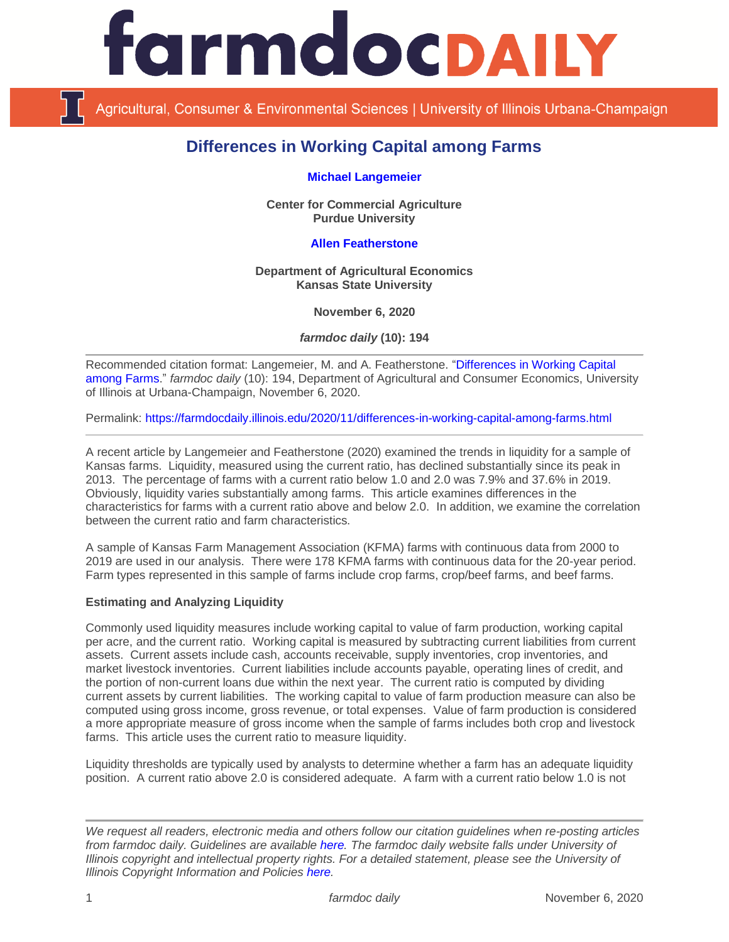

Agricultural, Consumer & Environmental Sciences | University of Illinois Urbana-Champaign

# **Differences in Working Capital among Farms**

#### **[Michael Langemeier](https://ag.purdue.edu/commercialag/Pages/Faculty-Staff/Langemeier.aspx)**

**Center for Commercial Agriculture Purdue University**

# **Allen [Featherstone](https://www.ageconomics.k-state.edu/directory/faculty_directory/featherstone/)**

**Department of Agricultural Economics Kansas State University**

**November 6, 2020**

*farmdoc daily* **(10): 194**

Recommended citation format: Langemeier, M. and A. Featherstone. ["Differences in Working Capital](https://farmdocdaily.illinois.edu/2020/11/differences-in-working-capital-among-farms.html)  [among Farms.](https://farmdocdaily.illinois.edu/2020/11/differences-in-working-capital-among-farms.html)" *farmdoc daily* (10): 194, Department of Agricultural and Consumer Economics, University of Illinois at Urbana-Champaign, November 6, 2020.

Permalink:<https://farmdocdaily.illinois.edu/2020/11/differences-in-working-capital-among-farms.html>

A recent article by Langemeier and Featherstone (2020) examined the trends in liquidity for a sample of Kansas farms. Liquidity, measured using the current ratio, has declined substantially since its peak in 2013. The percentage of farms with a current ratio below 1.0 and 2.0 was 7.9% and 37.6% in 2019. Obviously, liquidity varies substantially among farms. This article examines differences in the characteristics for farms with a current ratio above and below 2.0. In addition, we examine the correlation between the current ratio and farm characteristics.

A sample of Kansas Farm Management Association (KFMA) farms with continuous data from 2000 to 2019 are used in our analysis. There were 178 KFMA farms with continuous data for the 20-year period. Farm types represented in this sample of farms include crop farms, crop/beef farms, and beef farms.

### **Estimating and Analyzing Liquidity**

Commonly used liquidity measures include working capital to value of farm production, working capital per acre, and the current ratio. Working capital is measured by subtracting current liabilities from current assets. Current assets include cash, accounts receivable, supply inventories, crop inventories, and market livestock inventories. Current liabilities include accounts payable, operating lines of credit, and the portion of non-current loans due within the next year. The current ratio is computed by dividing current assets by current liabilities. The working capital to value of farm production measure can also be computed using gross income, gross revenue, or total expenses. Value of farm production is considered a more appropriate measure of gross income when the sample of farms includes both crop and livestock farms. This article uses the current ratio to measure liquidity.

Liquidity thresholds are typically used by analysts to determine whether a farm has an adequate liquidity position. A current ratio above 2.0 is considered adequate. A farm with a current ratio below 1.0 is not

*We request all readers, electronic media and others follow our citation guidelines when re-posting articles from farmdoc daily. Guidelines are available [here.](http://farmdocdaily.illinois.edu/citationguide.html) The farmdoc daily website falls under University of Illinois copyright and intellectual property rights. For a detailed statement, please see the University of Illinois Copyright Information and Policies [here.](http://www.cio.illinois.edu/policies/copyright/)*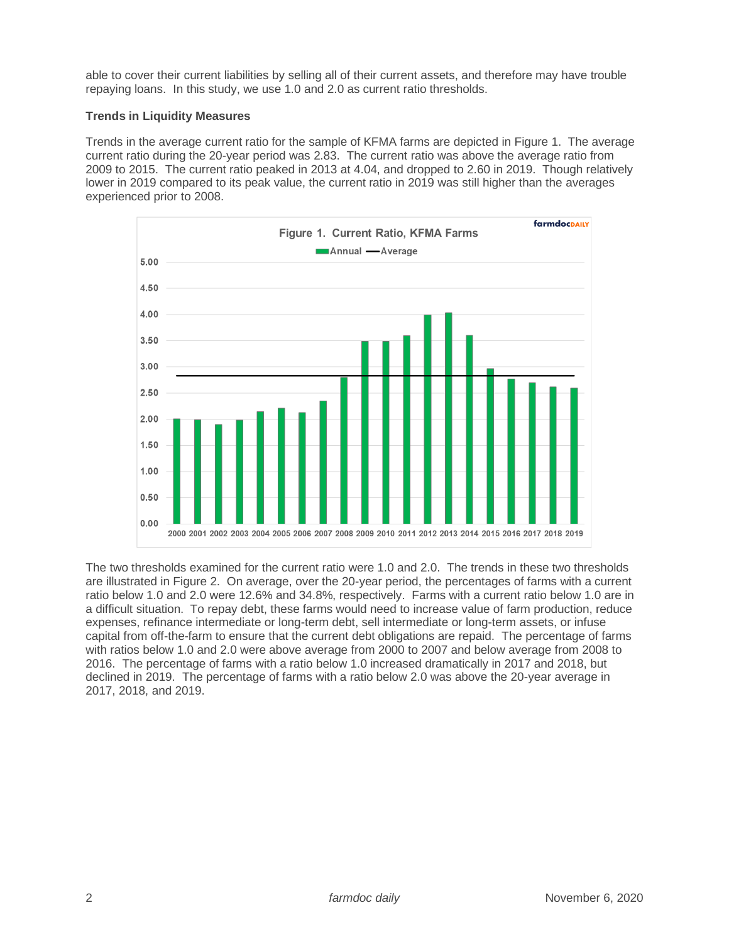able to cover their current liabilities by selling all of their current assets, and therefore may have trouble repaying loans. In this study, we use 1.0 and 2.0 as current ratio thresholds.

# **Trends in Liquidity Measures**

Trends in the average current ratio for the sample of KFMA farms are depicted in Figure 1. The average current ratio during the 20-year period was 2.83. The current ratio was above the average ratio from 2009 to 2015. The current ratio peaked in 2013 at 4.04, and dropped to 2.60 in 2019. Though relatively lower in 2019 compared to its peak value, the current ratio in 2019 was still higher than the averages experienced prior to 2008.



The two thresholds examined for the current ratio were 1.0 and 2.0. The trends in these two thresholds are illustrated in Figure 2. On average, over the 20-year period, the percentages of farms with a current ratio below 1.0 and 2.0 were 12.6% and 34.8%, respectively. Farms with a current ratio below 1.0 are in a difficult situation. To repay debt, these farms would need to increase value of farm production, reduce expenses, refinance intermediate or long-term debt, sell intermediate or long-term assets, or infuse capital from off-the-farm to ensure that the current debt obligations are repaid. The percentage of farms with ratios below 1.0 and 2.0 were above average from 2000 to 2007 and below average from 2008 to 2016. The percentage of farms with a ratio below 1.0 increased dramatically in 2017 and 2018, but declined in 2019. The percentage of farms with a ratio below 2.0 was above the 20-year average in 2017, 2018, and 2019.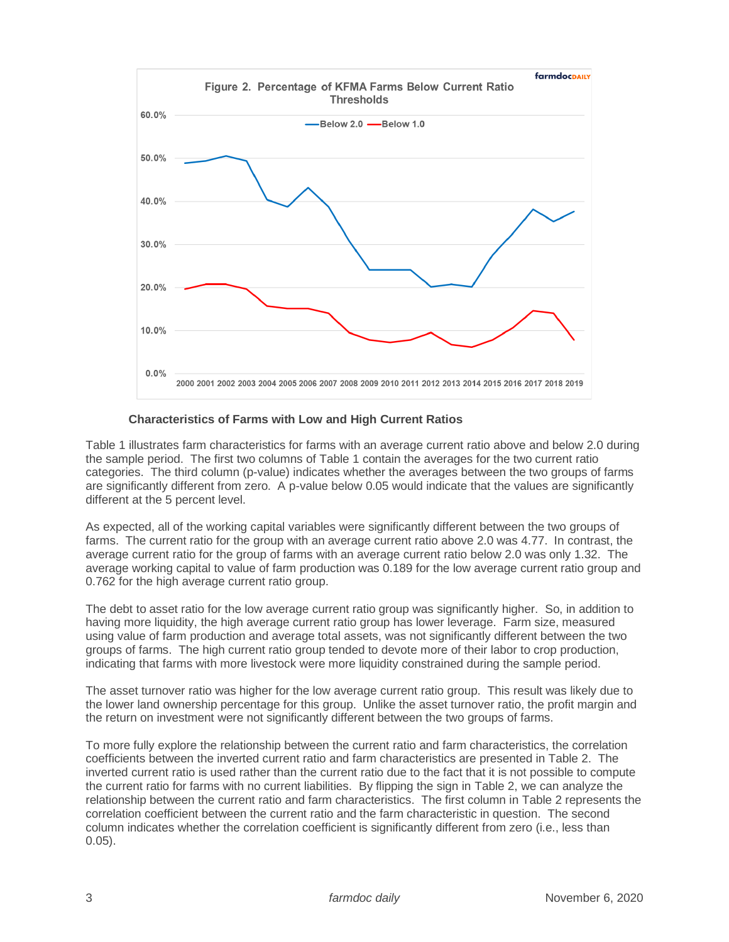

# **Characteristics of Farms with Low and High Current Ratios**

Table 1 illustrates farm characteristics for farms with an average current ratio above and below 2.0 during the sample period. The first two columns of Table 1 contain the averages for the two current ratio categories. The third column (p-value) indicates whether the averages between the two groups of farms are significantly different from zero. A p-value below 0.05 would indicate that the values are significantly different at the 5 percent level.

As expected, all of the working capital variables were significantly different between the two groups of farms. The current ratio for the group with an average current ratio above 2.0 was 4.77. In contrast, the average current ratio for the group of farms with an average current ratio below 2.0 was only 1.32. The average working capital to value of farm production was 0.189 for the low average current ratio group and 0.762 for the high average current ratio group.

The debt to asset ratio for the low average current ratio group was significantly higher. So, in addition to having more liquidity, the high average current ratio group has lower leverage. Farm size, measured using value of farm production and average total assets, was not significantly different between the two groups of farms. The high current ratio group tended to devote more of their labor to crop production, indicating that farms with more livestock were more liquidity constrained during the sample period.

The asset turnover ratio was higher for the low average current ratio group. This result was likely due to the lower land ownership percentage for this group. Unlike the asset turnover ratio, the profit margin and the return on investment were not significantly different between the two groups of farms.

To more fully explore the relationship between the current ratio and farm characteristics, the correlation coefficients between the inverted current ratio and farm characteristics are presented in Table 2. The inverted current ratio is used rather than the current ratio due to the fact that it is not possible to compute the current ratio for farms with no current liabilities. By flipping the sign in Table 2, we can analyze the relationship between the current ratio and farm characteristics. The first column in Table 2 represents the correlation coefficient between the current ratio and the farm characteristic in question. The second column indicates whether the correlation coefficient is significantly different from zero (i.e., less than 0.05).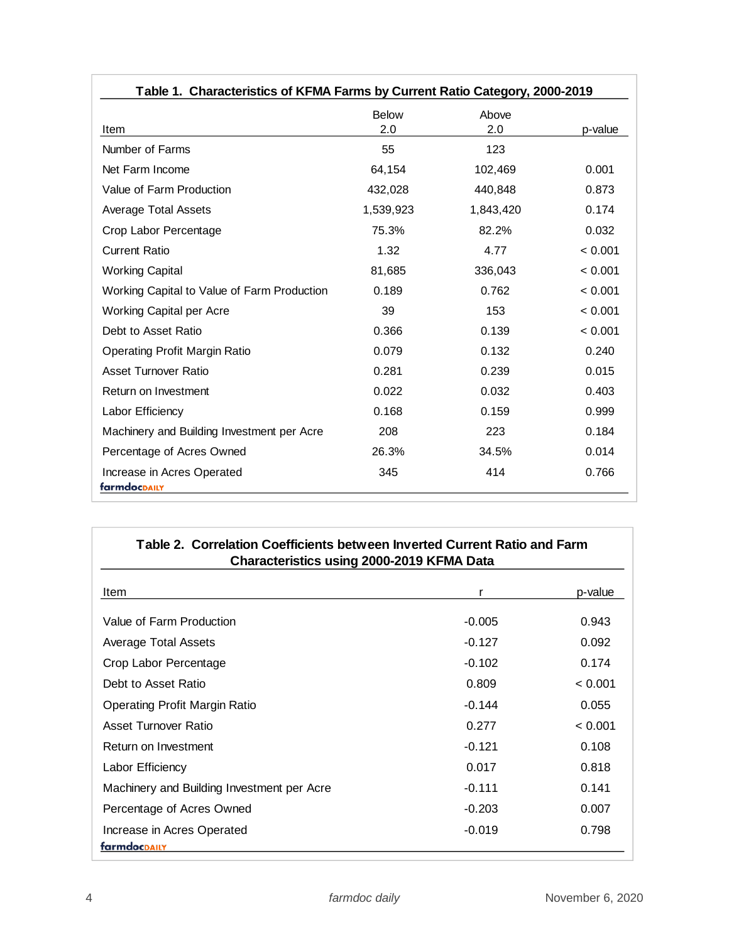| Table 1. Characteristics of KFMA Farms by Current Ratio Category, 2000-2019 |                     |              |         |  |
|-----------------------------------------------------------------------------|---------------------|--------------|---------|--|
| Item                                                                        | <b>Below</b><br>2.0 | Above<br>2.0 | p-value |  |
| Number of Farms                                                             | 55                  | 123          |         |  |
| Net Farm Income                                                             | 64,154              | 102,469      | 0.001   |  |
| Value of Farm Production                                                    | 432,028             | 440,848      | 0.873   |  |
| <b>Average Total Assets</b>                                                 | 1,539,923           | 1,843,420    | 0.174   |  |
| Crop Labor Percentage                                                       | 75.3%               | 82.2%        | 0.032   |  |
| <b>Current Ratio</b>                                                        | 1.32                | 4.77         | < 0.001 |  |
| <b>Working Capital</b>                                                      | 81,685              | 336,043      | < 0.001 |  |
| Working Capital to Value of Farm Production                                 | 0.189               | 0.762        | < 0.001 |  |
| Working Capital per Acre                                                    | 39                  | 153          | < 0.001 |  |
| Debt to Asset Ratio                                                         | 0.366               | 0.139        | < 0.001 |  |
| <b>Operating Profit Margin Ratio</b>                                        | 0.079               | 0.132        | 0.240   |  |
| Asset Turnover Ratio                                                        | 0.281               | 0.239        | 0.015   |  |
| Return on Investment                                                        | 0.022               | 0.032        | 0.403   |  |
| Labor Efficiency                                                            | 0.168               | 0.159        | 0.999   |  |
| Machinery and Building Investment per Acre                                  | 208                 | 223          | 0.184   |  |
| Percentage of Acres Owned                                                   | 26.3%               | 34.5%        | 0.014   |  |
| Increase in Acres Operated<br>farmdocpaily                                  | 345                 | 414          | 0.766   |  |

| Table 2. Correlation Coefficients between Inverted Current Ratio and Farm<br><b>Characteristics using 2000-2019 KFMA Data</b> |          |         |  |  |
|-------------------------------------------------------------------------------------------------------------------------------|----------|---------|--|--|
| Item                                                                                                                          | r        | p-value |  |  |
| Value of Farm Production                                                                                                      | $-0.005$ | 0.943   |  |  |
| Average Total Assets                                                                                                          | $-0.127$ | 0.092   |  |  |
| Crop Labor Percentage                                                                                                         | $-0.102$ | 0.174   |  |  |
| Debt to Asset Ratio                                                                                                           | 0.809    | < 0.001 |  |  |
| <b>Operating Profit Margin Ratio</b>                                                                                          | $-0.144$ | 0.055   |  |  |
| Asset Turnover Ratio                                                                                                          | 0.277    | < 0.001 |  |  |
| Return on Investment                                                                                                          | $-0.121$ | 0.108   |  |  |
| Labor Efficiency                                                                                                              | 0.017    | 0.818   |  |  |
| Machinery and Building Investment per Acre                                                                                    | $-0.111$ | 0.141   |  |  |
| Percentage of Acres Owned                                                                                                     | $-0.203$ | 0.007   |  |  |
| Increase in Acres Operated                                                                                                    | $-0.019$ | 0.798   |  |  |
| farmdocDAILY                                                                                                                  |          |         |  |  |